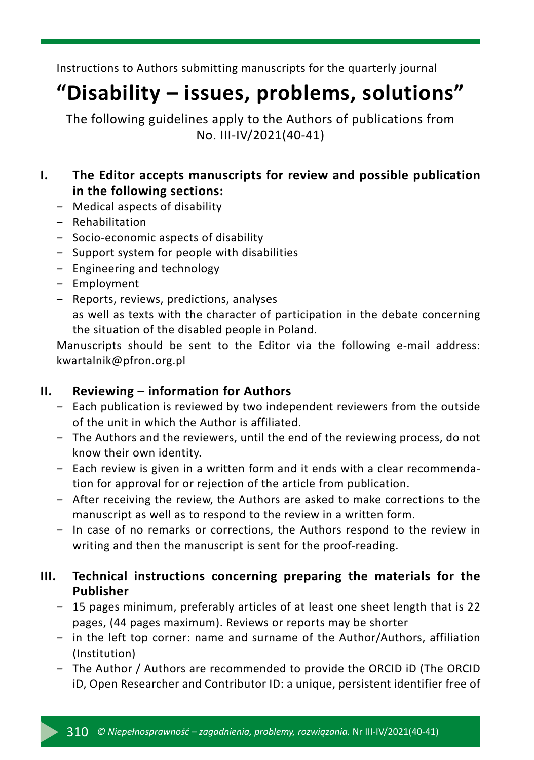Instructions to Authors submitting manuscripts for the quarterly journal

# **"Disability – issues, problems, solutions"**

The following guidelines apply to the Authors of publications from No. III-IV/2021(40-41)

# **I. The Editor accepts manuscripts for review and possible publication in the following sections:**

- ‒ Medical aspects of disability
- ‒ Rehabilitation
- ‒ Socio-economic aspects of disability
- ‒ Support system for people with disabilities
- ‒ Engineering and technology
- ‒ Employment
- ‒ Reports, reviews, predictions, analyses as well as texts with the character of participation in the debate concerning the situation of the disabled people in Poland.

Manuscripts should be sent to the Editor via the following e-mail address: kwartalnik@pfron.org.pl

# **II. Reviewing – information for Authors**

- Each publication is reviewed by two independent reviewers from the outside of the unit in which the Author is affiliated.
- ‒ The Authors and the reviewers, until the end of the reviewing process, do not know their own identity.
- ‒ Each review is given in a written form and it ends with a clear recommendation for approval for or rejection of the article from publication.
- ‒ After receiving the review, the Authors are asked to make corrections to the manuscript as well as to respond to the review in a written form.
- ‒ In case of no remarks or corrections, the Authors respond to the review in writing and then the manuscript is sent for the proof-reading.

# **III. Technical instructions concerning preparing the materials for the Publisher**

- ‒ 15 pages minimum, preferably articles of at least one sheet length that is 22 pages, (44 pages maximum). Reviews or reports may be shorter
- ‒ in the left top corner: name and surname of the Author/Authors, affiliation (Institution)
- ‒ The Author / Authors are recommended to provide the ORCID iD (The ORCID iD, Open Researcher and Contributor ID: a unique, persistent identifier free of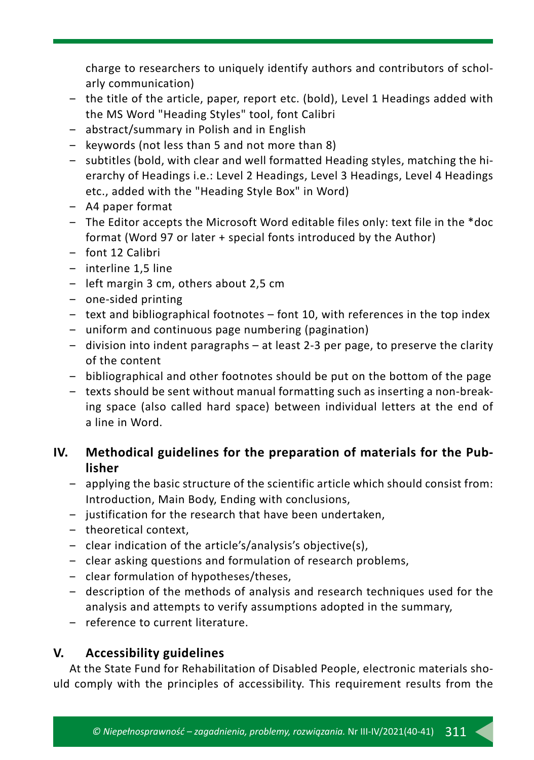charge to researchers to uniquely identify authors and contributors of scholarly communication)

- the title of the article, paper, report etc. (bold), Level 1 Headings added with the MS Word "Heading Styles" tool, font Calibri
- ‒ abstract/summary in Polish and in English
- ‒ keywords (not less than 5 and not more than 8)
- ‒ subtitles (bold, with clear and well formatted Heading styles, matching the hierarchy of Headings i.e.: Level 2 Headings, Level 3 Headings, Level 4 Headings etc., added with the "Heading Style Box" in Word)
- ‒ A4 paper format
- ‒ The Editor accepts the Microsoft Word editable files only: text file in the \*doc format (Word 97 or later + special fonts introduced by the Author)
- ‒ font 12 Calibri
- ‒ interline 1,5 line
- left margin 3 cm, others about 2,5 cm
- ‒ one-sided printing
- $-$  text and bibliographical footnotes font 10, with references in the top index
- ‒ uniform and continuous page numbering (pagination)
- ‒ division into indent paragraphs at least 2-3 per page, to preserve the clarity of the content
- ‒ bibliographical and other footnotes should be put on the bottom of the page
- texts should be sent without manual formatting such as inserting a non-breaking space (also called hard space) between individual letters at the end of a line in Word.

# **IV. Methodical guidelines for the preparation of materials for the Publisher**

- ‒ applying the basic structure of the scientific article which should consist from: Introduction, Main Body, Ending with conclusions,
- ‒ justification for the research that have been undertaken,
- theoretical context,
- ‒ clear indication of the article's/analysis's objective(s),
- ‒ clear asking questions and formulation of research problems,
- ‒ clear formulation of hypotheses/theses,
- ‒ description of the methods of analysis and research techniques used for the analysis and attempts to verify assumptions adopted in the summary,
- ‒ reference to current literature.

# **V. Accessibility guidelines**

At the State Fund for Rehabilitation of Disabled People, electronic materials should comply with the principles of accessibility. This requirement results from the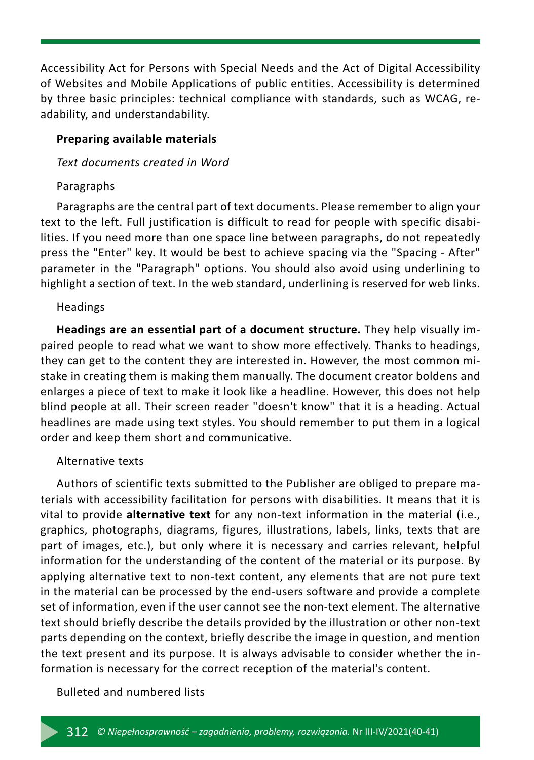Accessibility Act for Persons with Special Needs and the Act of Digital Accessibility of Websites and Mobile Applications of public entities. Accessibility is determined by three basic principles: technical compliance with standards, such as WCAG, readability, and understandability.

#### **Preparing available materials**

#### *Text documents created in Word*

## Paragraphs

Paragraphs are the central part of text documents. Please remember to align your text to the left. Full justification is difficult to read for people with specific disabilities. If you need more than one space line between paragraphs, do not repeatedly press the "Enter" key. It would be best to achieve spacing via the "Spacing - After" parameter in the "Paragraph" options. You should also avoid using underlining to highlight a section of text. In the web standard, underlining is reserved for web links.

### Headings

**Headings are an essential part of a document structure.** They help visually impaired people to read what we want to show more effectively. Thanks to headings, they can get to the content they are interested in. However, the most common mistake in creating them is making them manually. The document creator boldens and enlarges a piece of text to make it look like a headline. However, this does not help blind people at all. Their screen reader "doesn't know" that it is a heading. Actual headlines are made using text styles. You should remember to put them in a logical order and keep them short and communicative.

## Alternative texts

Authors of scientific texts submitted to the Publisher are obliged to prepare materials with accessibility facilitation for persons with disabilities. It means that it is vital to provide **alternative text** for any non-text information in the material (i.e., graphics, photographs, diagrams, figures, illustrations, labels, links, texts that are part of images, etc.), but only where it is necessary and carries relevant, helpful information for the understanding of the content of the material or its purpose. By applying alternative text to non-text content, any elements that are not pure text in the material can be processed by the end-users software and provide a complete set of information, even if the user cannot see the non-text element. The alternative text should briefly describe the details provided by the illustration or other non-text parts depending on the context, briefly describe the image in question, and mention the text present and its purpose. It is always advisable to consider whether the information is necessary for the correct reception of the material's content.

#### Bulleted and numbered lists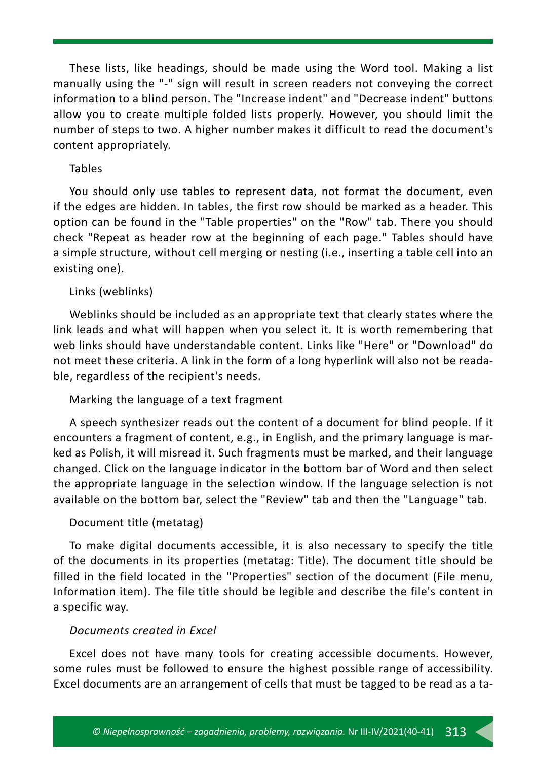These lists, like headings, should be made using the Word tool. Making a list manually using the "-" sign will result in screen readers not conveying the correct information to a blind person. The "Increase indent" and "Decrease indent" buttons allow you to create multiple folded lists properly. However, you should limit the number of steps to two. A higher number makes it difficult to read the document's content appropriately.

#### Tables

You should only use tables to represent data, not format the document, even if the edges are hidden. In tables, the first row should be marked as a header. This option can be found in the "Table properties" on the "Row" tab. There you should check "Repeat as header row at the beginning of each page." Tables should have a simple structure, without cell merging or nesting (i.e., inserting a table cell into an existing one).

#### Links (weblinks)

Weblinks should be included as an appropriate text that clearly states where the link leads and what will happen when you select it. It is worth remembering that web links should have understandable content. Links like "Here" or "Download" do not meet these criteria. A link in the form of a long hyperlink will also not be readable, regardless of the recipient's needs.

#### Marking the language of a text fragment

A speech synthesizer reads out the content of a document for blind people. If it encounters a fragment of content, e.g., in English, and the primary language is marked as Polish, it will misread it. Such fragments must be marked, and their language changed. Click on the language indicator in the bottom bar of Word and then select the appropriate language in the selection window. If the language selection is not available on the bottom bar, select the "Review" tab and then the "Language" tab.

#### Document title (metatag)

To make digital documents accessible, it is also necessary to specify the title of the documents in its properties (metatag: Title). The document title should be filled in the field located in the "Properties" section of the document (File menu, Information item). The file title should be legible and describe the file's content in a specific way.

#### *Documents created in Excel*

Excel does not have many tools for creating accessible documents. However, some rules must be followed to ensure the highest possible range of accessibility. Excel documents are an arrangement of cells that must be tagged to be read as a ta-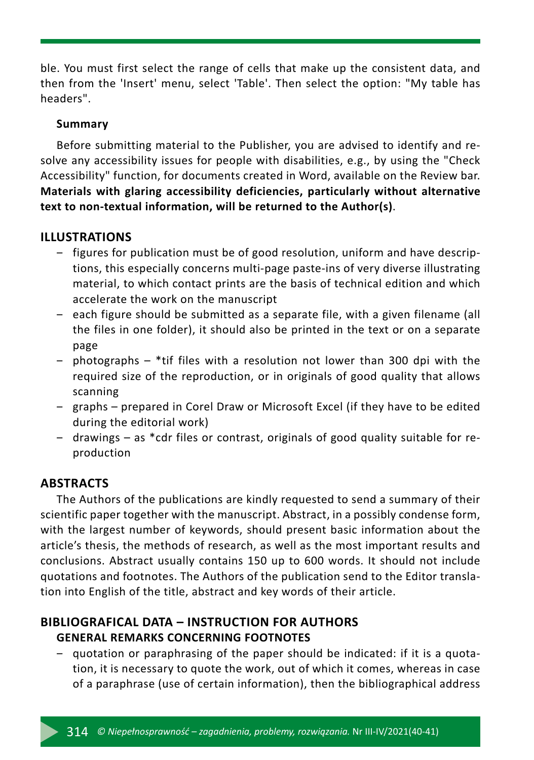ble. You must first select the range of cells that make up the consistent data, and then from the 'Insert' menu, select 'Table'. Then select the option: "My table has headers".

## **Summary**

Before submitting material to the Publisher, you are advised to identify and resolve any accessibility issues for people with disabilities, e.g., by using the "Check Accessibility" function, for documents created in Word, available on the Review bar. **Materials with glaring accessibility deficiencies, particularly without alternative text to non-textual information, will be returned to the Author(s)**.

## **ILLUSTRATIONS**

- ‒ figures for publication must be of good resolution, uniform and have descriptions, this especially concerns multi-page paste-ins of very diverse illustrating material, to which contact prints are the basis of technical edition and which accelerate the work on the manuscript
- ‒ each figure should be submitted as a separate file, with a given filename (all the files in one folder), it should also be printed in the text or on a separate page
- ‒ photographs \*tif files with a resolution not lower than 300 dpi with the required size of the reproduction, or in originals of good quality that allows scanning
- ‒ graphs prepared in Corel Draw or Microsoft Excel (if they have to be edited during the editorial work)
- ‒ drawings as \*cdr files or contrast, originals of good quality suitable for reproduction

# **ABSTRACTS**

The Authors of the publications are kindly requested to send a summary of their scientific paper together with the manuscript. Abstract, in a possibly condense form, with the largest number of keywords, should present basic information about the article's thesis, the methods of research, as well as the most important results and conclusions. Abstract usually contains 150 up to 600 words. It should not include quotations and footnotes. The Authors of the publication send to the Editor translation into English of the title, abstract and key words of their article.

# **BIBLIOGRAFICAL DATA – INSTRUCTION FOR AUTHORS GENERAL REMARKS CONCERNING FOOTNOTES**

‒ quotation or paraphrasing of the paper should be indicated: if it is a quotation, it is necessary to quote the work, out of which it comes, whereas in case of a paraphrase (use of certain information), then the bibliographical address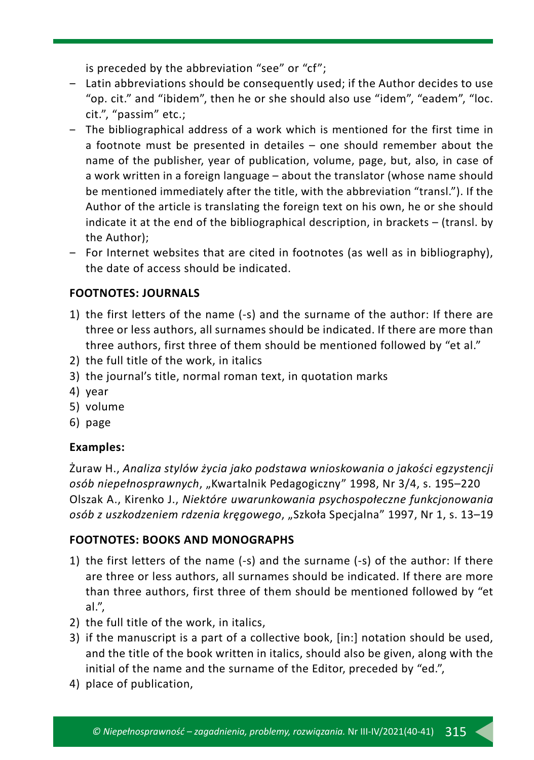is preceded by the abbreviation "see" or "cf";

- ‒ Latin abbreviations should be consequently used; if the Author decides to use "op. cit." and "ibidem", then he or she should also use "idem", "eadem", "loc. cit.", "passim" etc.;
- ‒ The bibliographical address of a work which is mentioned for the first time in a footnote must be presented in detailes – one should remember about the name of the publisher, year of publication, volume, page, but, also, in case of a work written in a foreign language – about the translator (whose name should be mentioned immediately after the title, with the abbreviation "transl."). If the Author of the article is translating the foreign text on his own, he or she should indicate it at the end of the bibliographical description, in brackets – (transl. by the Author);
- ‒ For Internet websites that are cited in footnotes (as well as in bibliography), the date of access should be indicated.

# **FOOTNOTES: JOURNALS**

- 1) the first letters of the name (-s) and the surname of the author: If there are three or less authors, all surnames should be indicated. If there are more than three authors, first three of them should be mentioned followed by "et al."
- 2) the full title of the work, in italics
- 3) the journal's title, normal roman text, in quotation marks
- 4) year
- 5) volume
- 6) page

# **Examples:**

Żuraw H., *Analiza stylów życia jako podstawa wnioskowania o jakości egzystencji osób niepełnosprawnych*, "Kwartalnik Pedagogiczny" 1998, Nr 3/4, s. 195–220 Olszak A., Kirenko J., *Niektóre uwarunkowania psychospołeczne funkcjonowania osób z uszkodzeniem rdzenia kręgowego*, "Szkoła Specjalna" 1997, Nr 1, s. 13–19

# **FOOTNOTES: BOOKS AND MONOGRAPHS**

- 1) the first letters of the name (-s) and the surname (-s) of the author: If there are three or less authors, all surnames should be indicated. If there are more than three authors, first three of them should be mentioned followed by "et al.",
- 2) the full title of the work, in italics,
- 3) if the manuscript is a part of a collective book, [in:] notation should be used, and the title of the book written in italics, should also be given, along with the initial of the name and the surname of the Editor, preceded by "ed.",
- 4) place of publication,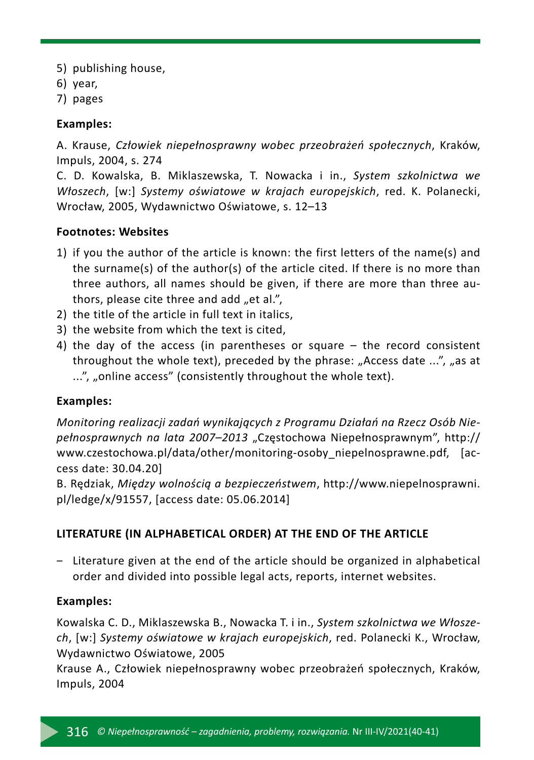- 5) publishing house,
- 6) year,
- 7) pages

## **Examples:**

A. Krause, *Człowiek niepełnosprawny wobec przeobrażeń społecznych*, Kraków, Impuls, 2004, s. 274

C. D. Kowalska, B. Miklaszewska, T. Nowacka i in., *System szkolnictwa we Włoszech*, [w:] *Systemy oświatowe w krajach europejskich*, red. K. Polanecki, Wrocław, 2005, Wydawnictwo Oświatowe, s. 12–13

## **Footnotes: Websites**

- 1) if you the author of the article is known: the first letters of the name(s) and the surname(s) of the author(s) of the article cited. If there is no more than three authors, all names should be given, if there are more than three authors, please cite three and add "et al.",
- 2) the title of the article in full text in italics,
- 3) the website from which the text is cited,
- 4) the day of the access (in parentheses or square the record consistent throughout the whole text), preceded by the phrase: "Access date  $\ldots$ ", "as at ...", "online access" (consistently throughout the whole text).

## **Examples:**

*Monitoring realizacji zadań wynikających z Programu Działań na Rzecz Osób Niepełnosprawnych na lata 2007–2013* "Częstochowa Niepełnosprawnym", http:// www.czestochowa.pl/data/other/monitoring-osoby\_niepelnosprawne.pdf, [access date: 30.04.20]

B. Rędziak, *Między wolnością a bezpieczeństwem*, http://www.niepelnosprawni. pl/ledge/x/91557, [access date: 05.06.2014]

# **LITERATURE (IN ALPHABETICAL ORDER) AT THE END OF THE ARTICLE**

‒ Literature given at the end of the article should be organized in alphabetical order and divided into possible legal acts, reports, internet websites.

## **Examples:**

Kowalska C. D., Miklaszewska B., Nowacka T. i in., *System szkolnictwa we Włoszech*, [w:] *Systemy oświatowe w krajach europejskich*, red. Polanecki K., Wrocław, Wydawnictwo Oświatowe, 2005

Krause A., Człowiek niepełnosprawny wobec przeobrażeń społecznych, Kraków, Impuls, 2004